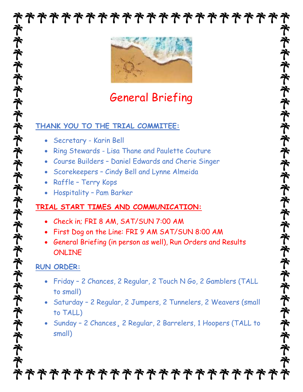# \*\*\*\*\*\*\*\*\*\*\*\*\*\*\*\*\*\*\*\*\* **おそぞうそそそそそそそそそそそそそそそそそそそそ**



## General Briefing

### THANK YOU TO THE TRIAL COMMITEE:

- Secretary Karin Bell
- Ring Stewards Lisa Thane and Paulette Couture
- Course Builders Daniel Edwards and Cherie Singer
- Scorekeepers Cindy Bell and Lynne Almeida
- Raffle Terry Kops
- Hospitality Pam Barker

### TRIAL START TIMES AND COMMUNICATION:

- Check in; FRI 8 AM, SAT/SUN 7:00 AM
- First Dog on the Line: FRI 9 AM SAT/SUN 8:00 AM
- General Briefing (in person as well), Run Orders and Results ONLINE

### RUN ORDER:

- Friday 2 Chances, 2 Regular, 2 Touch N Go, 2 Gamblers (TALL to small)
- Saturday 2 Regular, 2 Jumpers, 2 Tunnelers, 2 Weavers (small to TALL)
- Sunday 2 Chances, 2 Regular, 2 Barrelers, 1 Hoopers (TALL to small)

\*\*\*\*\*\*\*\*\*\*\*\*\*\*\*\*\*\*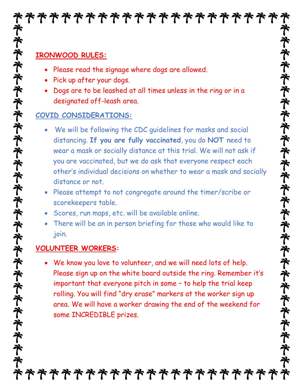# \*\*\*\*\*\*\*\*\*\*\*\*\*\*\*\*\*\*\*\*\* **ネキネネネネネネネネネネネネネネネネネネネネネネネ** そそぞそそそそそそそそそそそそそそそそそそそそ

### IRONWOOD RULES:

- Please read the signage where dogs are allowed.
- Pick up after your dogs.
- Dogs are to be leashed at all times unless in the ring or in a designated off-leash area.

### COVID CONSIDERATIONS:

- We will be following the CDC guidelines for masks and social distancing. If you are fully vaccinated, you do NOT need to wear a mask or socially distance at this trial. We will not ask if you are vaccinated, but we do ask that everyone respect each other's individual decisions on whether to wear a mask and socially distance or not.
- Please attempt to not congregate around the timer/scribe or scorekeepers table.
- Scores, run maps, etc. will be available online.
- There will be an in person briefing for those who would like to join.

### VOLUNTEER WORKERS:

 We know you love to volunteer, and we will need lots of help. Please sign up on the white board outside the ring. Remember it's important that everyone pitch in some – to help the trial keep rolling. You will find "dry erase" markers at the worker sign up area. We will have a worker drawing the end of the weekend for some INCREDIBLE prizes.

F\*\*\*\*\*\*\*\*\*\*\*\*\*\*\*\*\*\*\*\*